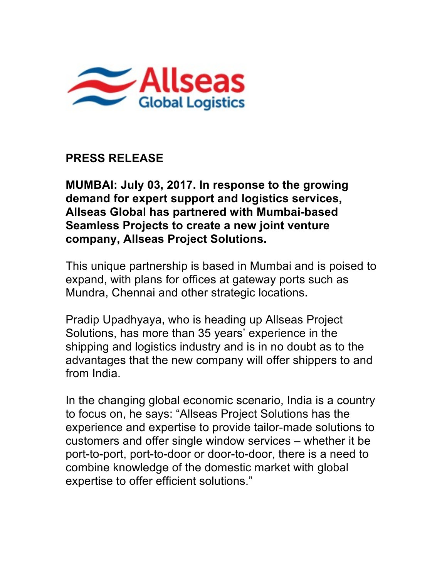

## **PRESS RELEASE**

**MUMBAI: July 03, 2017. In response to the growing demand for expert support and logistics services, Allseas Global has partnered with Mumbai-based Seamless Projects to create a new joint venture company, Allseas Project Solutions.**

This unique partnership is based in Mumbai and is poised to expand, with plans for offices at gateway ports such as Mundra, Chennai and other strategic locations.

Pradip Upadhyaya, who is heading up Allseas Project Solutions, has more than 35 years' experience in the shipping and logistics industry and is in no doubt as to the advantages that the new company will offer shippers to and from India.

In the changing global economic scenario, India is a country to focus on, he says: "Allseas Project Solutions has the experience and expertise to provide tailor-made solutions to customers and offer single window services – whether it be port-to-port, port-to-door or door-to-door, there is a need to combine knowledge of the domestic market with global expertise to offer efficient solutions."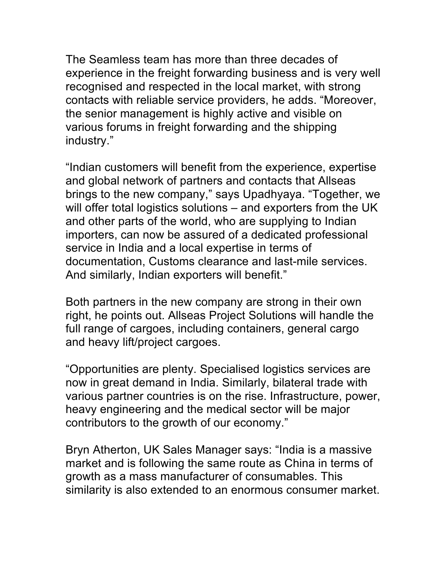The Seamless team has more than three decades of experience in the freight forwarding business and is very well recognised and respected in the local market, with strong contacts with reliable service providers, he adds. "Moreover, the senior management is highly active and visible on various forums in freight forwarding and the shipping industry."

"Indian customers will benefit from the experience, expertise and global network of partners and contacts that Allseas brings to the new company," says Upadhyaya. "Together, we will offer total logistics solutions – and exporters from the UK and other parts of the world, who are supplying to Indian importers, can now be assured of a dedicated professional service in India and a local expertise in terms of documentation, Customs clearance and last-mile services. And similarly, Indian exporters will benefit."

Both partners in the new company are strong in their own right, he points out. Allseas Project Solutions will handle the full range of cargoes, including containers, general cargo and heavy lift/project cargoes.

"Opportunities are plenty. Specialised logistics services are now in great demand in India. Similarly, bilateral trade with various partner countries is on the rise. Infrastructure, power, heavy engineering and the medical sector will be major contributors to the growth of our economy."

Bryn Atherton, UK Sales Manager says: "India is a massive market and is following the same route as China in terms of growth as a mass manufacturer of consumables. This similarity is also extended to an enormous consumer market.